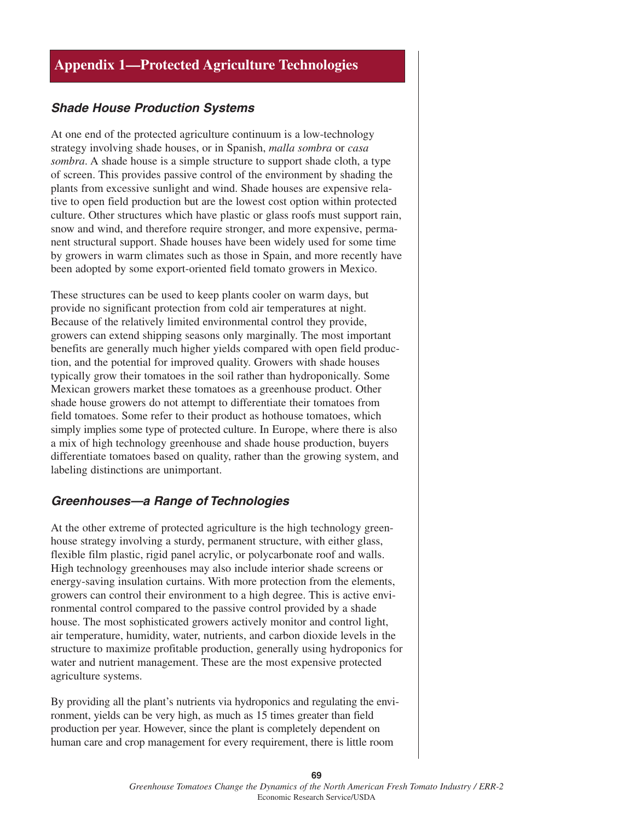# **Appendix 1—Protected Agriculture Technologies**

### **Shade House Production Systems**

At one end of the protected agriculture continuum is a low-technology strategy involving shade houses, or in Spanish, *malla sombra* or *casa sombra*. A shade house is a simple structure to support shade cloth, a type of screen. This provides passive control of the environment by shading the plants from excessive sunlight and wind. Shade houses are expensive relative to open field production but are the lowest cost option within protected culture. Other structures which have plastic or glass roofs must support rain, snow and wind, and therefore require stronger, and more expensive, permanent structural support. Shade houses have been widely used for some time by growers in warm climates such as those in Spain, and more recently have been adopted by some export-oriented field tomato growers in Mexico.

These structures can be used to keep plants cooler on warm days, but provide no significant protection from cold air temperatures at night. Because of the relatively limited environmental control they provide, growers can extend shipping seasons only marginally. The most important benefits are generally much higher yields compared with open field production, and the potential for improved quality. Growers with shade houses typically grow their tomatoes in the soil rather than hydroponically. Some Mexican growers market these tomatoes as a greenhouse product. Other shade house growers do not attempt to differentiate their tomatoes from field tomatoes. Some refer to their product as hothouse tomatoes, which simply implies some type of protected culture. In Europe, where there is also a mix of high technology greenhouse and shade house production, buyers differentiate tomatoes based on quality, rather than the growing system, and labeling distinctions are unimportant.

### **Greenhouses—a Range of Technologies**

At the other extreme of protected agriculture is the high technology greenhouse strategy involving a sturdy, permanent structure, with either glass, flexible film plastic, rigid panel acrylic, or polycarbonate roof and walls. High technology greenhouses may also include interior shade screens or energy-saving insulation curtains. With more protection from the elements, growers can control their environment to a high degree. This is active environmental control compared to the passive control provided by a shade house. The most sophisticated growers actively monitor and control light, air temperature, humidity, water, nutrients, and carbon dioxide levels in the structure to maximize profitable production, generally using hydroponics for water and nutrient management. These are the most expensive protected agriculture systems.

By providing all the plant's nutrients via hydroponics and regulating the environment, yields can be very high, as much as 15 times greater than field production per year. However, since the plant is completely dependent on human care and crop management for every requirement, there is little room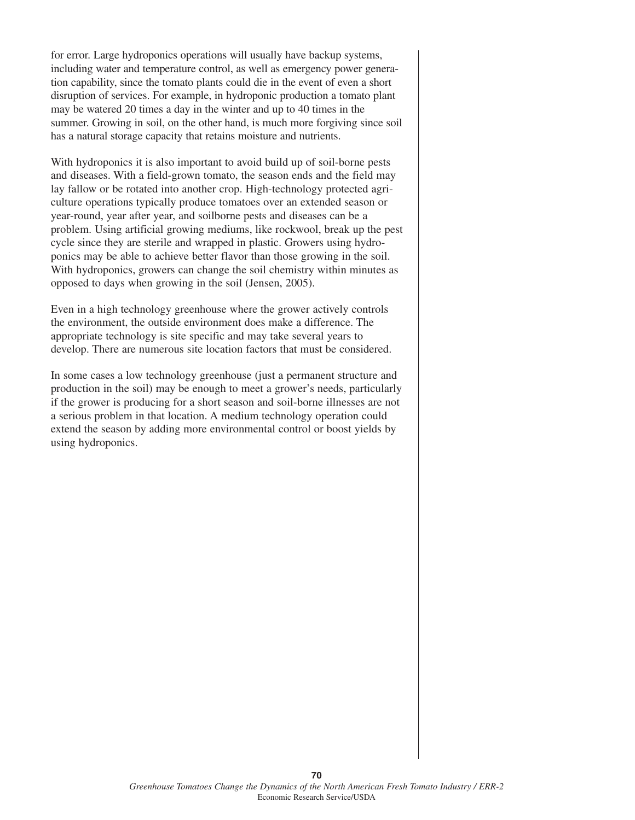for error. Large hydroponics operations will usually have backup systems, including water and temperature control, as well as emergency power generation capability, since the tomato plants could die in the event of even a short disruption of services. For example, in hydroponic production a tomato plant may be watered 20 times a day in the winter and up to 40 times in the summer. Growing in soil, on the other hand, is much more forgiving since soil has a natural storage capacity that retains moisture and nutrients.

With hydroponics it is also important to avoid build up of soil-borne pests and diseases. With a field-grown tomato, the season ends and the field may lay fallow or be rotated into another crop. High-technology protected agriculture operations typically produce tomatoes over an extended season or year-round, year after year, and soilborne pests and diseases can be a problem. Using artificial growing mediums, like rockwool, break up the pest cycle since they are sterile and wrapped in plastic. Growers using hydroponics may be able to achieve better flavor than those growing in the soil. With hydroponics, growers can change the soil chemistry within minutes as opposed to days when growing in the soil (Jensen, 2005).

Even in a high technology greenhouse where the grower actively controls the environment, the outside environment does make a difference. The appropriate technology is site specific and may take several years to develop. There are numerous site location factors that must be considered.

In some cases a low technology greenhouse (just a permanent structure and production in the soil) may be enough to meet a grower's needs, particularly if the grower is producing for a short season and soil-borne illnesses are not a serious problem in that location. A medium technology operation could extend the season by adding more environmental control or boost yields by using hydroponics.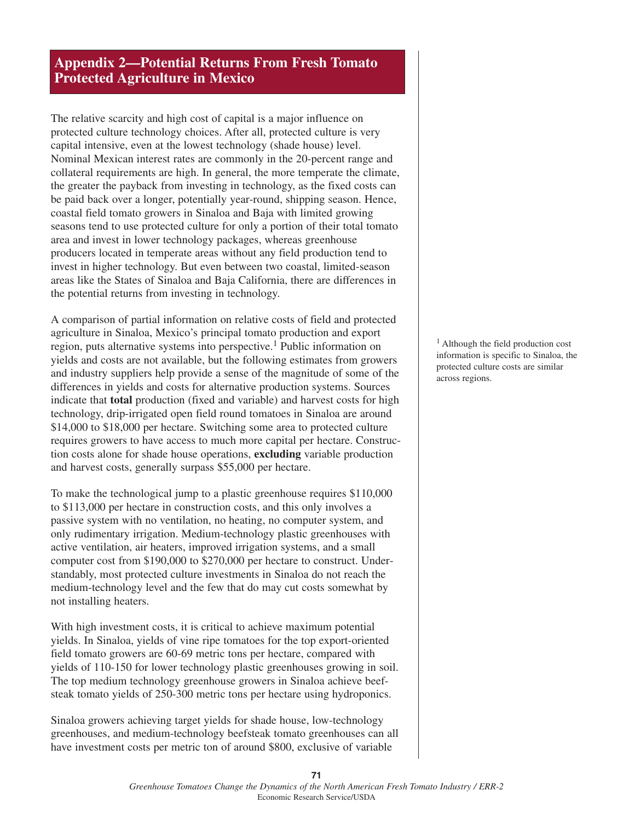# **Appendix 2—Potential Returns From Fresh Tomato Protected Agriculture in Mexico**

The relative scarcity and high cost of capital is a major influence on protected culture technology choices. After all, protected culture is very capital intensive, even at the lowest technology (shade house) level. Nominal Mexican interest rates are commonly in the 20-percent range and collateral requirements are high. In general, the more temperate the climate, the greater the payback from investing in technology, as the fixed costs can be paid back over a longer, potentially year-round, shipping season. Hence, coastal field tomato growers in Sinaloa and Baja with limited growing seasons tend to use protected culture for only a portion of their total tomato area and invest in lower technology packages, whereas greenhouse producers located in temperate areas without any field production tend to invest in higher technology. But even between two coastal, limited-season areas like the States of Sinaloa and Baja California, there are differences in the potential returns from investing in technology.

A comparison of partial information on relative costs of field and protected agriculture in Sinaloa, Mexico's principal tomato production and export region, puts alternative systems into perspective.<sup>1</sup> Public information on yields and costs are not available, but the following estimates from growers and industry suppliers help provide a sense of the magnitude of some of the differences in yields and costs for alternative production systems. Sources indicate that **total** production (fixed and variable) and harvest costs for high technology, drip-irrigated open field round tomatoes in Sinaloa are around \$14,000 to \$18,000 per hectare. Switching some area to protected culture requires growers to have access to much more capital per hectare. Construction costs alone for shade house operations, **excluding** variable production and harvest costs, generally surpass \$55,000 per hectare.

To make the technological jump to a plastic greenhouse requires \$110,000 to \$113,000 per hectare in construction costs, and this only involves a passive system with no ventilation, no heating, no computer system, and only rudimentary irrigation. Medium-technology plastic greenhouses with active ventilation, air heaters, improved irrigation systems, and a small computer cost from \$190,000 to \$270,000 per hectare to construct. Understandably, most protected culture investments in Sinaloa do not reach the medium-technology level and the few that do may cut costs somewhat by not installing heaters.

With high investment costs, it is critical to achieve maximum potential yields. In Sinaloa, yields of vine ripe tomatoes for the top export-oriented field tomato growers are 60-69 metric tons per hectare, compared with yields of 110-150 for lower technology plastic greenhouses growing in soil. The top medium technology greenhouse growers in Sinaloa achieve beefsteak tomato yields of 250-300 metric tons per hectare using hydroponics.

Sinaloa growers achieving target yields for shade house, low-technology greenhouses, and medium-technology beefsteak tomato greenhouses can all have investment costs per metric ton of around \$800, exclusive of variable

<sup>1</sup> Although the field production cost information is specific to Sinaloa, the protected culture costs are similar across regions.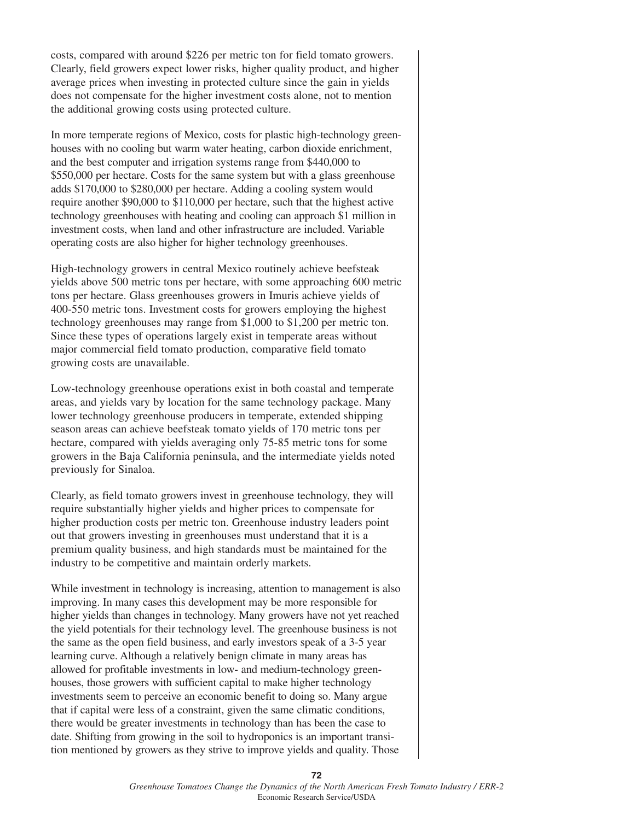costs, compared with around \$226 per metric ton for field tomato growers. Clearly, field growers expect lower risks, higher quality product, and higher average prices when investing in protected culture since the gain in yields does not compensate for the higher investment costs alone, not to mention the additional growing costs using protected culture.

In more temperate regions of Mexico, costs for plastic high-technology greenhouses with no cooling but warm water heating, carbon dioxide enrichment, and the best computer and irrigation systems range from \$440,000 to \$550,000 per hectare. Costs for the same system but with a glass greenhouse adds \$170,000 to \$280,000 per hectare. Adding a cooling system would require another \$90,000 to \$110,000 per hectare, such that the highest active technology greenhouses with heating and cooling can approach \$1 million in investment costs, when land and other infrastructure are included. Variable operating costs are also higher for higher technology greenhouses.

High-technology growers in central Mexico routinely achieve beefsteak yields above 500 metric tons per hectare, with some approaching 600 metric tons per hectare. Glass greenhouses growers in Imuris achieve yields of 400-550 metric tons. Investment costs for growers employing the highest technology greenhouses may range from \$1,000 to \$1,200 per metric ton. Since these types of operations largely exist in temperate areas without major commercial field tomato production, comparative field tomato growing costs are unavailable.

Low-technology greenhouse operations exist in both coastal and temperate areas, and yields vary by location for the same technology package. Many lower technology greenhouse producers in temperate, extended shipping season areas can achieve beefsteak tomato yields of 170 metric tons per hectare, compared with yields averaging only 75-85 metric tons for some growers in the Baja California peninsula, and the intermediate yields noted previously for Sinaloa.

Clearly, as field tomato growers invest in greenhouse technology, they will require substantially higher yields and higher prices to compensate for higher production costs per metric ton. Greenhouse industry leaders point out that growers investing in greenhouses must understand that it is a premium quality business, and high standards must be maintained for the industry to be competitive and maintain orderly markets.

While investment in technology is increasing, attention to management is also improving. In many cases this development may be more responsible for higher yields than changes in technology. Many growers have not yet reached the yield potentials for their technology level. The greenhouse business is not the same as the open field business, and early investors speak of a 3-5 year learning curve. Although a relatively benign climate in many areas has allowed for profitable investments in low- and medium-technology greenhouses, those growers with sufficient capital to make higher technology investments seem to perceive an economic benefit to doing so. Many argue that if capital were less of a constraint, given the same climatic conditions, there would be greater investments in technology than has been the case to date. Shifting from growing in the soil to hydroponics is an important transition mentioned by growers as they strive to improve yields and quality. Those

**72**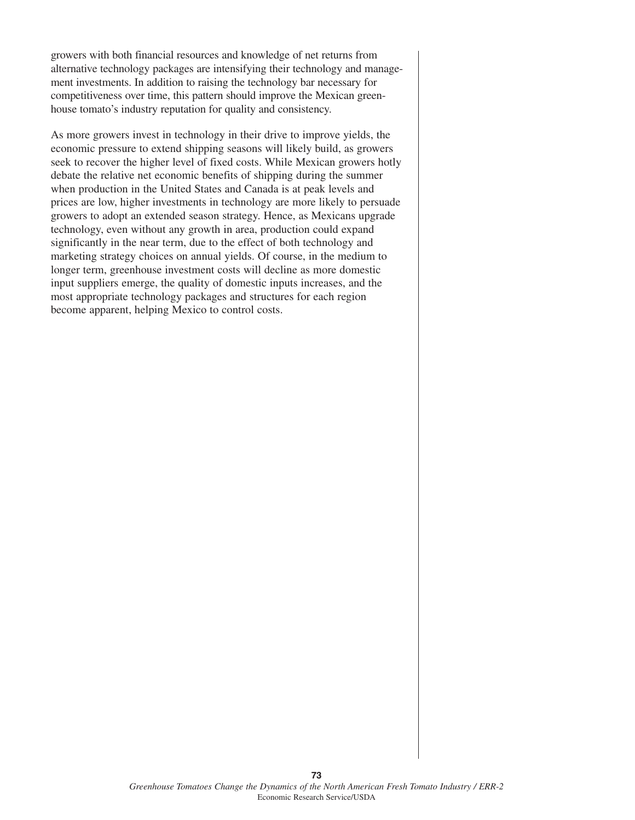growers with both financial resources and knowledge of net returns from alternative technology packages are intensifying their technology and management investments. In addition to raising the technology bar necessary for competitiveness over time, this pattern should improve the Mexican greenhouse tomato's industry reputation for quality and consistency.

As more growers invest in technology in their drive to improve yields, the economic pressure to extend shipping seasons will likely build, as growers seek to recover the higher level of fixed costs. While Mexican growers hotly debate the relative net economic benefits of shipping during the summer when production in the United States and Canada is at peak levels and prices are low, higher investments in technology are more likely to persuade growers to adopt an extended season strategy. Hence, as Mexicans upgrade technology, even without any growth in area, production could expand significantly in the near term, due to the effect of both technology and marketing strategy choices on annual yields. Of course, in the medium to longer term, greenhouse investment costs will decline as more domestic input suppliers emerge, the quality of domestic inputs increases, and the most appropriate technology packages and structures for each region become apparent, helping Mexico to control costs.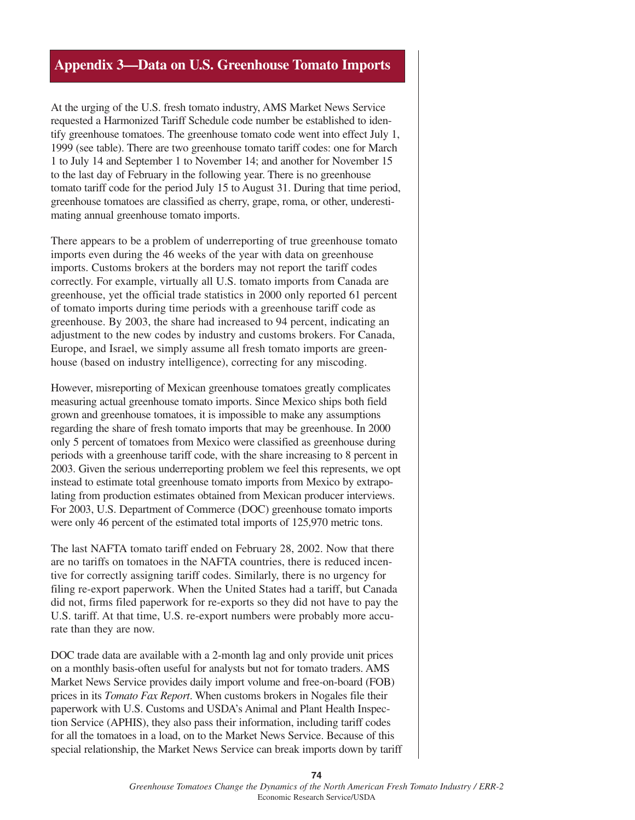### **Appendix 3—Data on U.S. Greenhouse Tomato Imports**

At the urging of the U.S. fresh tomato industry, AMS Market News Service requested a Harmonized Tariff Schedule code number be established to identify greenhouse tomatoes. The greenhouse tomato code went into effect July 1, 1999 (see table). There are two greenhouse tomato tariff codes: one for March 1 to July 14 and September 1 to November 14; and another for November 15 to the last day of February in the following year. There is no greenhouse tomato tariff code for the period July 15 to August 31. During that time period, greenhouse tomatoes are classified as cherry, grape, roma, or other, underestimating annual greenhouse tomato imports.

There appears to be a problem of underreporting of true greenhouse tomato imports even during the 46 weeks of the year with data on greenhouse imports. Customs brokers at the borders may not report the tariff codes correctly. For example, virtually all U.S. tomato imports from Canada are greenhouse, yet the official trade statistics in 2000 only reported 61 percent of tomato imports during time periods with a greenhouse tariff code as greenhouse. By 2003, the share had increased to 94 percent, indicating an adjustment to the new codes by industry and customs brokers. For Canada, Europe, and Israel, we simply assume all fresh tomato imports are greenhouse (based on industry intelligence), correcting for any miscoding.

However, misreporting of Mexican greenhouse tomatoes greatly complicates measuring actual greenhouse tomato imports. Since Mexico ships both field grown and greenhouse tomatoes, it is impossible to make any assumptions regarding the share of fresh tomato imports that may be greenhouse. In 2000 only 5 percent of tomatoes from Mexico were classified as greenhouse during periods with a greenhouse tariff code, with the share increasing to 8 percent in 2003. Given the serious underreporting problem we feel this represents, we opt instead to estimate total greenhouse tomato imports from Mexico by extrapolating from production estimates obtained from Mexican producer interviews. For 2003, U.S. Department of Commerce (DOC) greenhouse tomato imports were only 46 percent of the estimated total imports of 125,970 metric tons.

The last NAFTA tomato tariff ended on February 28, 2002. Now that there are no tariffs on tomatoes in the NAFTA countries, there is reduced incentive for correctly assigning tariff codes. Similarly, there is no urgency for filing re-export paperwork. When the United States had a tariff, but Canada did not, firms filed paperwork for re-exports so they did not have to pay the U.S. tariff. At that time, U.S. re-export numbers were probably more accurate than they are now.

DOC trade data are available with a 2-month lag and only provide unit prices on a monthly basis-often useful for analysts but not for tomato traders. AMS Market News Service provides daily import volume and free-on-board (FOB) prices in its *Tomato Fax Report*. When customs brokers in Nogales file their paperwork with U.S. Customs and USDA's Animal and Plant Health Inspection Service (APHIS), they also pass their information, including tariff codes for all the tomatoes in a load, on to the Market News Service. Because of this special relationship, the Market News Service can break imports down by tariff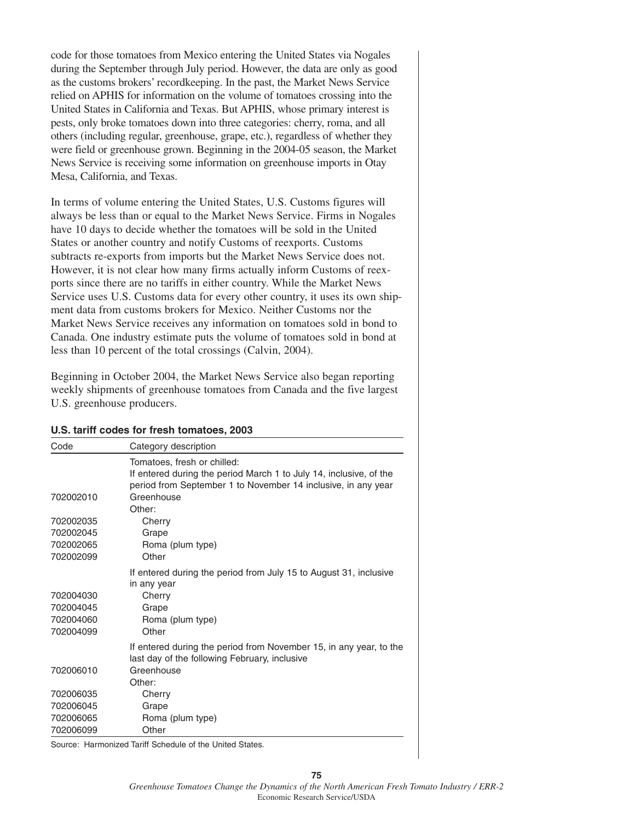code for those tomatoes from Mexico entering the United States via Nogales during the September through July period. However, the data are only as good as the customs brokers' recordkeeping. In the past, the Market News Service relied on APHIS for information on the volume of tomatoes crossing into the United States in California and Texas. But APHIS, whose primary interest is pests, only broke tomatoes down into three categories: cherry, roma, and all others (including regular, greenhouse, grape, etc.), regardless of whether they were field or greenhouse grown. Beginning in the 2004-05 season, the Market News Service is receiving some information on greenhouse imports in Otay Mesa, California, and Texas.

In terms of volume entering the United States, U.S. Customs figures will always be less than or equal to the Market News Service. Firms in Nogales have 10 days to decide whether the tomatoes will be sold in the United States or another country and notify Customs of reexports. Customs subtracts re-exports from imports but the Market News Service does not. However, it is not clear how many firms actually inform Customs of reexports since there are no tariffs in either country. While the Market News Service uses U.S. Customs data for every other country, it uses its own shipment data from customs brokers for Mexico. Neither Customs nor the Market News Service receives any information on tomatoes sold in bond to Canada. One industry estimate puts the volume of tomatoes sold in bond at less than 10 percent of the total crossings (Calvin, 2004).

Beginning in October 2004, the Market News Service also began reporting weekly shipments of greenhouse tomatoes from Canada and the five largest U.S. greenhouse producers.

| Code      | Category description                                               |  |  |  |
|-----------|--------------------------------------------------------------------|--|--|--|
|           | Tomatoes, fresh or chilled:                                        |  |  |  |
|           | If entered during the period March 1 to July 14, inclusive, of the |  |  |  |
|           | period from September 1 to November 14 inclusive, in any year      |  |  |  |
| 702002010 | Greenhouse                                                         |  |  |  |
|           | Other:                                                             |  |  |  |
| 702002035 | Cherry                                                             |  |  |  |
| 702002045 | Grape                                                              |  |  |  |
| 702002065 | Roma (plum type)                                                   |  |  |  |
| 702002099 | Other                                                              |  |  |  |
|           | If entered during the period from July 15 to August 31, inclusive  |  |  |  |
|           | in any year                                                        |  |  |  |
| 702004030 | Cherry                                                             |  |  |  |
| 702004045 | Grape                                                              |  |  |  |
| 702004060 | Roma (plum type)                                                   |  |  |  |
| 702004099 | Other                                                              |  |  |  |
|           | If entered during the period from November 15, in any year, to the |  |  |  |
|           | last day of the following February, inclusive                      |  |  |  |
| 702006010 | Greenhouse                                                         |  |  |  |
|           | Other:                                                             |  |  |  |
| 702006035 | Cherry                                                             |  |  |  |
| 702006045 | Grape                                                              |  |  |  |
| 702006065 | Roma (plum type)                                                   |  |  |  |
| 702006099 | Other                                                              |  |  |  |

#### **U.S. tariff codes for fresh tomatoes, 2003**

Source: Harmonized Tariff Schedule of the United States.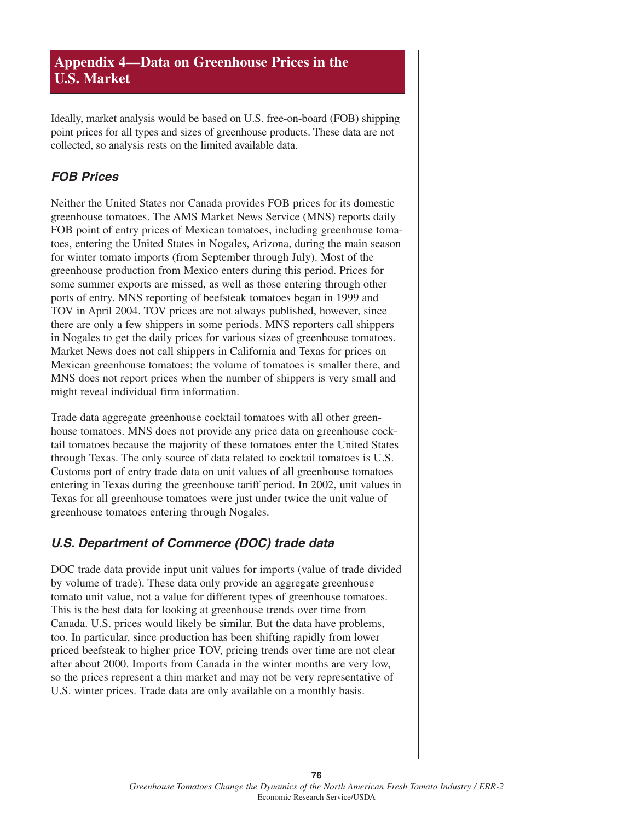# **Appendix 4—Data on Greenhouse Prices in the U.S. Market**

Ideally, market analysis would be based on U.S. free-on-board (FOB) shipping point prices for all types and sizes of greenhouse products. These data are not collected, so analysis rests on the limited available data.

## **FOB Prices**

Neither the United States nor Canada provides FOB prices for its domestic greenhouse tomatoes. The AMS Market News Service (MNS) reports daily FOB point of entry prices of Mexican tomatoes, including greenhouse tomatoes, entering the United States in Nogales, Arizona, during the main season for winter tomato imports (from September through July). Most of the greenhouse production from Mexico enters during this period. Prices for some summer exports are missed, as well as those entering through other ports of entry. MNS reporting of beefsteak tomatoes began in 1999 and TOV in April 2004. TOV prices are not always published, however, since there are only a few shippers in some periods. MNS reporters call shippers in Nogales to get the daily prices for various sizes of greenhouse tomatoes. Market News does not call shippers in California and Texas for prices on Mexican greenhouse tomatoes; the volume of tomatoes is smaller there, and MNS does not report prices when the number of shippers is very small and might reveal individual firm information.

Trade data aggregate greenhouse cocktail tomatoes with all other greenhouse tomatoes. MNS does not provide any price data on greenhouse cocktail tomatoes because the majority of these tomatoes enter the United States through Texas. The only source of data related to cocktail tomatoes is U.S. Customs port of entry trade data on unit values of all greenhouse tomatoes entering in Texas during the greenhouse tariff period. In 2002, unit values in Texas for all greenhouse tomatoes were just under twice the unit value of greenhouse tomatoes entering through Nogales.

# **U.S. Department of Commerce (DOC) trade data**

DOC trade data provide input unit values for imports (value of trade divided by volume of trade). These data only provide an aggregate greenhouse tomato unit value, not a value for different types of greenhouse tomatoes. This is the best data for looking at greenhouse trends over time from Canada. U.S. prices would likely be similar. But the data have problems, too. In particular, since production has been shifting rapidly from lower priced beefsteak to higher price TOV, pricing trends over time are not clear after about 2000. Imports from Canada in the winter months are very low, so the prices represent a thin market and may not be very representative of U.S. winter prices. Trade data are only available on a monthly basis.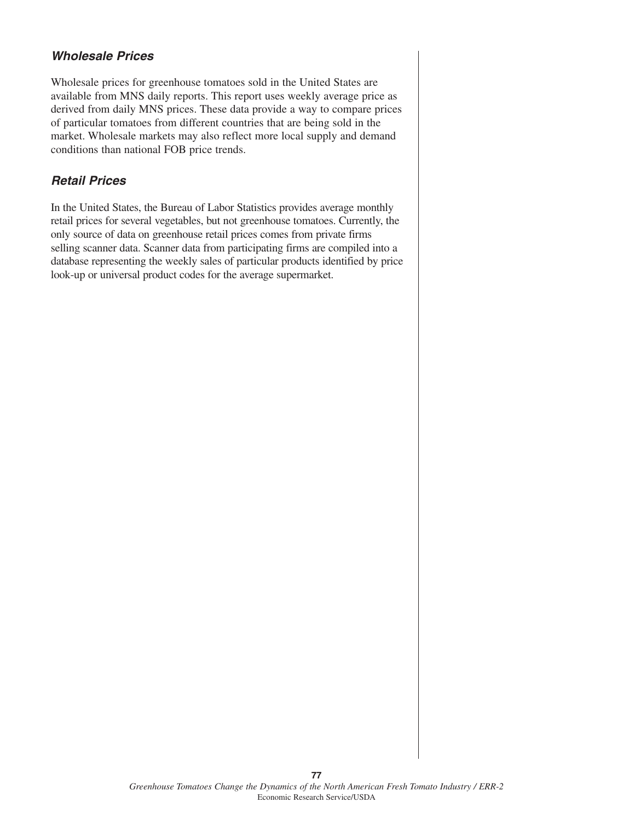# **Wholesale Prices**

Wholesale prices for greenhouse tomatoes sold in the United States are available from MNS daily reports. This report uses weekly average price as derived from daily MNS prices. These data provide a way to compare prices of particular tomatoes from different countries that are being sold in the market. Wholesale markets may also reflect more local supply and demand conditions than national FOB price trends.

### **Retail Prices**

In the United States, the Bureau of Labor Statistics provides average monthly retail prices for several vegetables, but not greenhouse tomatoes. Currently, the only source of data on greenhouse retail prices comes from private firms selling scanner data. Scanner data from participating firms are compiled into a database representing the weekly sales of particular products identified by price look-up or universal product codes for the average supermarket.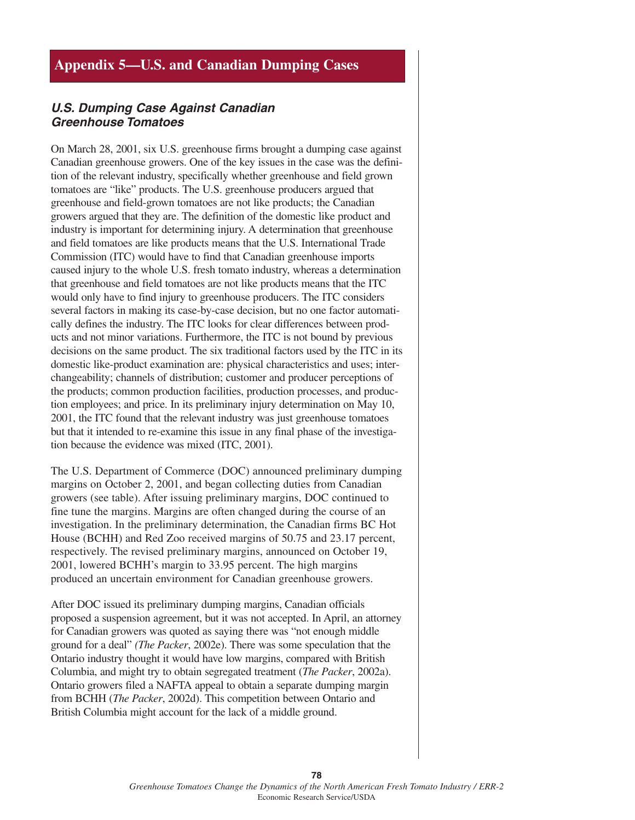# **Appendix 5—U.S. and Canadian Dumping Cases**

#### **U.S. Dumping Case Against Canadian Greenhouse Tomatoes**

On March 28, 2001, six U.S. greenhouse firms brought a dumping case against Canadian greenhouse growers. One of the key issues in the case was the definition of the relevant industry, specifically whether greenhouse and field grown tomatoes are "like" products. The U.S. greenhouse producers argued that greenhouse and field-grown tomatoes are not like products; the Canadian growers argued that they are. The definition of the domestic like product and industry is important for determining injury. A determination that greenhouse and field tomatoes are like products means that the U.S. International Trade Commission (ITC) would have to find that Canadian greenhouse imports caused injury to the whole U.S. fresh tomato industry, whereas a determination that greenhouse and field tomatoes are not like products means that the ITC would only have to find injury to greenhouse producers. The ITC considers several factors in making its case-by-case decision, but no one factor automatically defines the industry. The ITC looks for clear differences between products and not minor variations. Furthermore, the ITC is not bound by previous decisions on the same product. The six traditional factors used by the ITC in its domestic like-product examination are: physical characteristics and uses; interchangeability; channels of distribution; customer and producer perceptions of the products; common production facilities, production processes, and production employees; and price. In its preliminary injury determination on May 10, 2001, the ITC found that the relevant industry was just greenhouse tomatoes but that it intended to re-examine this issue in any final phase of the investigation because the evidence was mixed (ITC, 2001).

The U.S. Department of Commerce (DOC) announced preliminary dumping margins on October 2, 2001, and began collecting duties from Canadian growers (see table). After issuing preliminary margins, DOC continued to fine tune the margins. Margins are often changed during the course of an investigation. In the preliminary determination, the Canadian firms BC Hot House (BCHH) and Red Zoo received margins of 50.75 and 23.17 percent, respectively. The revised preliminary margins, announced on October 19, 2001, lowered BCHH's margin to 33.95 percent. The high margins produced an uncertain environment for Canadian greenhouse growers.

After DOC issued its preliminary dumping margins, Canadian officials proposed a suspension agreement, but it was not accepted. In April, an attorney for Canadian growers was quoted as saying there was "not enough middle ground for a deal" *(The Packer*, 2002e). There was some speculation that the Ontario industry thought it would have low margins, compared with British Columbia, and might try to obtain segregated treatment (*The Packer*, 2002a). Ontario growers filed a NAFTA appeal to obtain a separate dumping margin from BCHH (*The Packer*, 2002d). This competition between Ontario and British Columbia might account for the lack of a middle ground.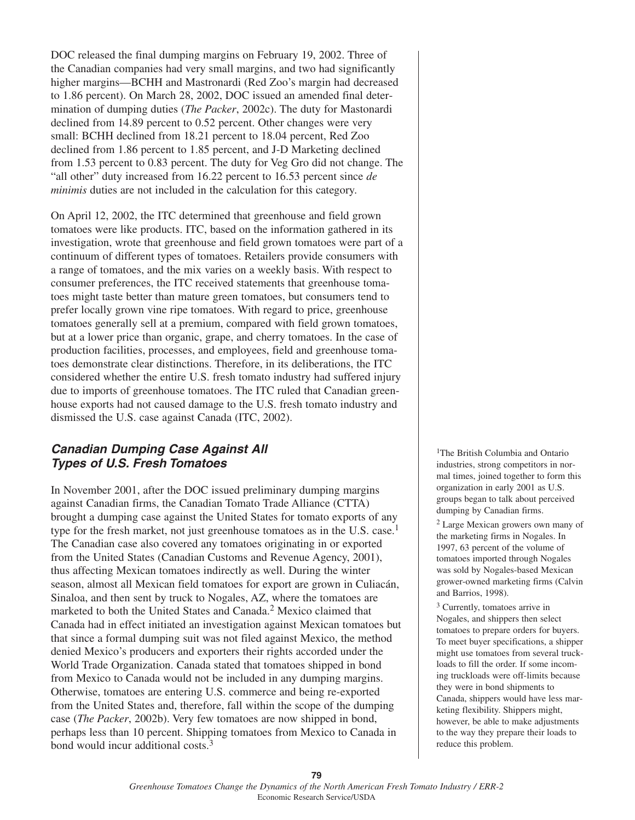DOC released the final dumping margins on February 19, 2002. Three of the Canadian companies had very small margins, and two had significantly higher margins—BCHH and Mastronardi (Red Zoo's margin had decreased to 1.86 percent). On March 28, 2002, DOC issued an amended final determination of dumping duties (*The Packer*, 2002c). The duty for Mastonardi declined from 14.89 percent to 0.52 percent. Other changes were very small: BCHH declined from 18.21 percent to 18.04 percent, Red Zoo declined from 1.86 percent to 1.85 percent, and J-D Marketing declined from 1.53 percent to 0.83 percent. The duty for Veg Gro did not change. The "all other" duty increased from 16.22 percent to 16.53 percent since *de minimis* duties are not included in the calculation for this category.

On April 12, 2002, the ITC determined that greenhouse and field grown tomatoes were like products. ITC, based on the information gathered in its investigation, wrote that greenhouse and field grown tomatoes were part of a continuum of different types of tomatoes. Retailers provide consumers with a range of tomatoes, and the mix varies on a weekly basis. With respect to consumer preferences, the ITC received statements that greenhouse tomatoes might taste better than mature green tomatoes, but consumers tend to prefer locally grown vine ripe tomatoes. With regard to price, greenhouse tomatoes generally sell at a premium, compared with field grown tomatoes, but at a lower price than organic, grape, and cherry tomatoes. In the case of production facilities, processes, and employees, field and greenhouse tomatoes demonstrate clear distinctions. Therefore, in its deliberations, the ITC considered whether the entire U.S. fresh tomato industry had suffered injury due to imports of greenhouse tomatoes. The ITC ruled that Canadian greenhouse exports had not caused damage to the U.S. fresh tomato industry and dismissed the U.S. case against Canada (ITC, 2002).

### **Canadian Dumping Case Against All Types of U.S. Fresh Tomatoes**

In November 2001, after the DOC issued preliminary dumping margins against Canadian firms, the Canadian Tomato Trade Alliance (CTTA) brought a dumping case against the United States for tomato exports of any type for the fresh market, not just greenhouse tomatoes as in the U.S. case.<sup>1</sup> The Canadian case also covered any tomatoes originating in or exported from the United States (Canadian Customs and Revenue Agency, 2001), thus affecting Mexican tomatoes indirectly as well. During the winter season, almost all Mexican field tomatoes for export are grown in Culiacán, Sinaloa, and then sent by truck to Nogales, AZ, where the tomatoes are marketed to both the United States and Canada.<sup>2</sup> Mexico claimed that Canada had in effect initiated an investigation against Mexican tomatoes but that since a formal dumping suit was not filed against Mexico, the method denied Mexico's producers and exporters their rights accorded under the World Trade Organization. Canada stated that tomatoes shipped in bond from Mexico to Canada would not be included in any dumping margins. Otherwise, tomatoes are entering U.S. commerce and being re-exported from the United States and, therefore, fall within the scope of the dumping case (*The Packer*, 2002b). Very few tomatoes are now shipped in bond, perhaps less than 10 percent. Shipping tomatoes from Mexico to Canada in bond would incur additional costs.<sup>3</sup>

<sup>1</sup>The British Columbia and Ontario industries, strong competitors in normal times, joined together to form this organization in early 2001 as U.S. groups began to talk about perceived dumping by Canadian firms.

<sup>2</sup> Large Mexican growers own many of the marketing firms in Nogales. In 1997, 63 percent of the volume of tomatoes imported through Nogales was sold by Nogales-based Mexican grower-owned marketing firms (Calvin and Barrios, 1998).

<sup>3</sup> Currently, tomatoes arrive in Nogales, and shippers then select tomatoes to prepare orders for buyers. To meet buyer specifications, a shipper might use tomatoes from several truckloads to fill the order. If some incoming truckloads were off-limits because they were in bond shipments to Canada, shippers would have less marketing flexibility. Shippers might, however, be able to make adjustments to the way they prepare their loads to reduce this problem.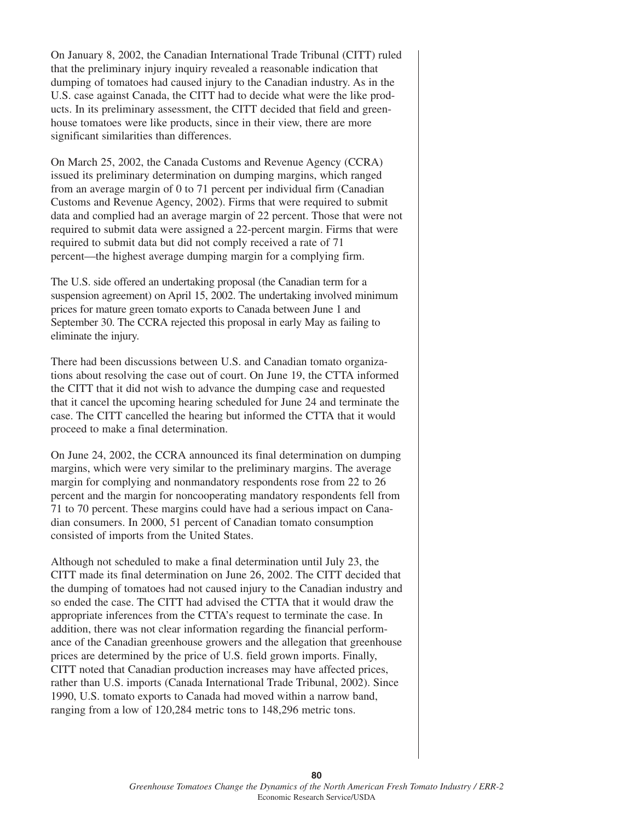On January 8, 2002, the Canadian International Trade Tribunal (CITT) ruled that the preliminary injury inquiry revealed a reasonable indication that dumping of tomatoes had caused injury to the Canadian industry. As in the U.S. case against Canada, the CITT had to decide what were the like products. In its preliminary assessment, the CITT decided that field and greenhouse tomatoes were like products, since in their view, there are more significant similarities than differences.

On March 25, 2002, the Canada Customs and Revenue Agency (CCRA) issued its preliminary determination on dumping margins, which ranged from an average margin of 0 to 71 percent per individual firm (Canadian Customs and Revenue Agency, 2002). Firms that were required to submit data and complied had an average margin of 22 percent. Those that were not required to submit data were assigned a 22-percent margin. Firms that were required to submit data but did not comply received a rate of 71 percent—the highest average dumping margin for a complying firm.

The U.S. side offered an undertaking proposal (the Canadian term for a suspension agreement) on April 15, 2002. The undertaking involved minimum prices for mature green tomato exports to Canada between June 1 and September 30. The CCRA rejected this proposal in early May as failing to eliminate the injury.

There had been discussions between U.S. and Canadian tomato organizations about resolving the case out of court. On June 19, the CTTA informed the CITT that it did not wish to advance the dumping case and requested that it cancel the upcoming hearing scheduled for June 24 and terminate the case. The CITT cancelled the hearing but informed the CTTA that it would proceed to make a final determination.

On June 24, 2002, the CCRA announced its final determination on dumping margins, which were very similar to the preliminary margins. The average margin for complying and nonmandatory respondents rose from 22 to 26 percent and the margin for noncooperating mandatory respondents fell from 71 to 70 percent. These margins could have had a serious impact on Canadian consumers. In 2000, 51 percent of Canadian tomato consumption consisted of imports from the United States.

Although not scheduled to make a final determination until July 23, the CITT made its final determination on June 26, 2002. The CITT decided that the dumping of tomatoes had not caused injury to the Canadian industry and so ended the case. The CITT had advised the CTTA that it would draw the appropriate inferences from the CTTA's request to terminate the case. In addition, there was not clear information regarding the financial performance of the Canadian greenhouse growers and the allegation that greenhouse prices are determined by the price of U.S. field grown imports. Finally, CITT noted that Canadian production increases may have affected prices, rather than U.S. imports (Canada International Trade Tribunal, 2002). Since 1990, U.S. tomato exports to Canada had moved within a narrow band, ranging from a low of 120,284 metric tons to 148,296 metric tons.